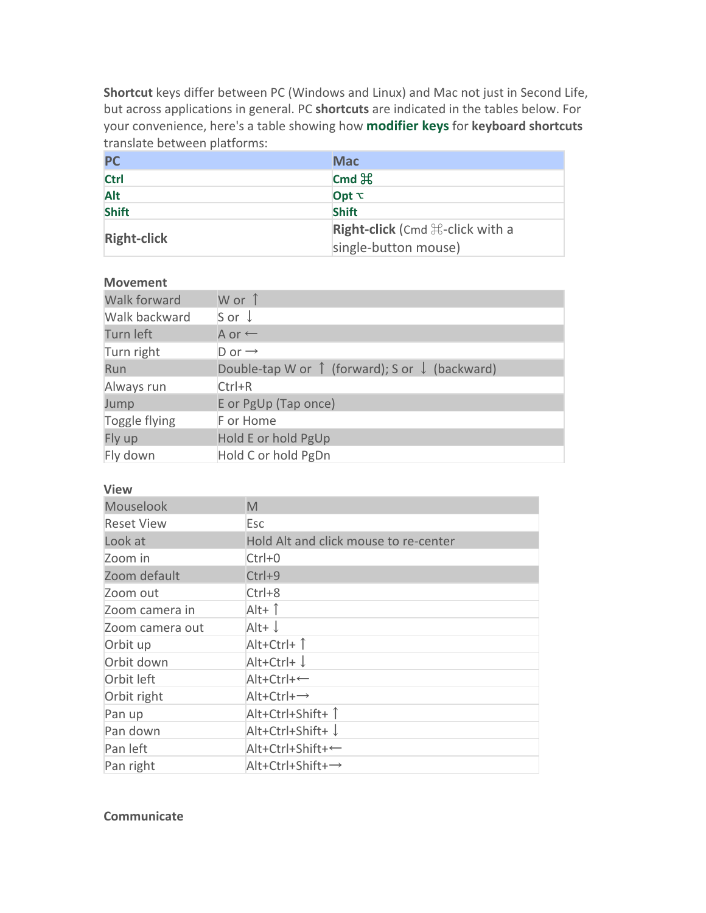**Shortcut** keys differ between PC (Windows and Linux) and Mac not just in Second Life, but across applications in general. PC **shortcuts** are indicated in the tables below. For your convenience, here's a table showing how **[modifier keys](http://en.wikipedia.org/wiki/Modifier_key)** for **keyboard shortcuts** translate between platforms:

| <b>PC</b>          | <b>Mac</b>                                |
|--------------------|-------------------------------------------|
| <b>Ctrl</b>        | CmdH                                      |
| <b>Alt</b>         | Opt $\tau$                                |
| <b>Shift</b>       | <b>Shift</b>                              |
|                    | <b>Right-click</b> (Cmd $H$ -click with a |
| <b>Right-click</b> | single-button mouse)                      |

## **Movement**

| Walk forward  | W or $\uparrow$                                                |
|---------------|----------------------------------------------------------------|
| Walk backward | S or $\downarrow$                                              |
| Turn left     | A or $\leftarrow$                                              |
| Turn right    | D or $\rightarrow$                                             |
| Run           | Double-tap W or $\hat{ }$ (forward); S or $\hat{ }$ (backward) |
| Always run    | $Ctrl + R$                                                     |
| Jump          | E or PgUp (Tap once)                                           |
| Toggle flying | F or Home                                                      |
| Fly up        | Hold E or hold PgUp                                            |
| Fly down      | Hold C or hold PgDn                                            |

## **View**

| Mouselook         | M                                     |
|-------------------|---------------------------------------|
| <b>Reset View</b> | Esc                                   |
| Look at           | Hold Alt and click mouse to re-center |
| Zoom in           | $Ctrl + 0$                            |
| Zoom default      | $Ctrl + 9$                            |
| Zoom out          | $Ctrl + 8$                            |
| Zoom camera in    | Alt+ ↑                                |
| Zoom camera out   | Alt+ ↓                                |
| Orbit up          | Alt+Ctrl+ 1                           |
| Orbit down        | Alt+Ctrl+↓                            |
| Orbit left        | Alt+Ctrl+←                            |
| Orbit right       | $Alt+Ctrl+\rightarrow$                |
| Pan up            | Alt+Ctrl+Shift+ 1                     |
| Pan down          | Alt+Ctrl+Shift+ ↓                     |
| Pan left          | Alt+Ctrl+Shift+←                      |
| Pan right         | Alt+Ctrl+Shift+→                      |

## **Communicate**